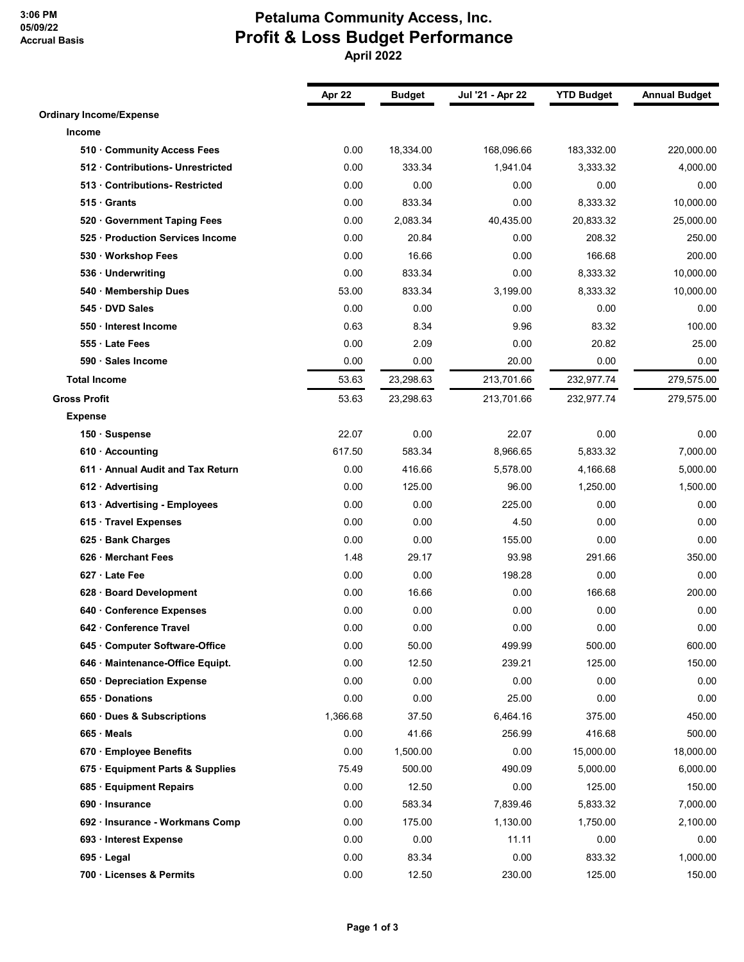## **3:06 PM 05/09/22 Accrual Basis**

## **Petaluma Community Access, Inc. Profit & Loss Budget Performance April 2022**

|                                   | Apr 22   | <b>Budget</b> | Jul '21 - Apr 22 | <b>YTD Budget</b> | <b>Annual Budget</b> |
|-----------------------------------|----------|---------------|------------------|-------------------|----------------------|
| <b>Ordinary Income/Expense</b>    |          |               |                  |                   |                      |
| Income                            |          |               |                  |                   |                      |
| 510 Community Access Fees         | 0.00     | 18,334.00     | 168,096.66       | 183,332.00        | 220,000.00           |
| 512 Contributions- Unrestricted   | 0.00     | 333.34        | 1,941.04         | 3,333.32          | 4,000.00             |
| 513 Contributions-Restricted      | 0.00     | 0.00          | 0.00             | 0.00              | 0.00                 |
| 515 Grants                        | 0.00     | 833.34        | 0.00             | 8,333.32          | 10,000.00            |
| 520 · Government Taping Fees      | 0.00     | 2,083.34      | 40,435.00        | 20,833.32         | 25,000.00            |
| 525 · Production Services Income  | 0.00     | 20.84         | 0.00             | 208.32            | 250.00               |
| 530 · Workshop Fees               | 0.00     | 16.66         | 0.00             | 166.68            | 200.00               |
| 536 · Underwriting                | 0.00     | 833.34        | 0.00             | 8,333.32          | 10,000.00            |
| 540 · Membership Dues             | 53.00    | 833.34        | 3,199.00         | 8,333.32          | 10,000.00            |
| 545 DVD Sales                     | 0.00     | 0.00          | 0.00             | 0.00              | 0.00                 |
| 550 · Interest Income             | 0.63     | 8.34          | 9.96             | 83.32             | 100.00               |
| 555 Late Fees                     | 0.00     | 2.09          | 0.00             | 20.82             | 25.00                |
| 590 · Sales Income                | 0.00     | 0.00          | 20.00            | 0.00              | 0.00                 |
| <b>Total Income</b>               | 53.63    | 23,298.63     | 213,701.66       | 232,977.74        | 279,575.00           |
| <b>Gross Profit</b>               | 53.63    | 23,298.63     | 213,701.66       | 232,977.74        | 279,575.00           |
| <b>Expense</b>                    |          |               |                  |                   |                      |
| 150 · Suspense                    | 22.07    | 0.00          | 22.07            | 0.00              | 0.00                 |
| $610 \cdot$ Accounting            | 617.50   | 583.34        | 8,966.65         | 5,833.32          | 7,000.00             |
| 611 • Annual Audit and Tax Return | 0.00     | 416.66        | 5,578.00         | 4,166.68          | 5,000.00             |
| $612 \cdot$ Advertising           | 0.00     | 125.00        | 96.00            | 1,250.00          | 1,500.00             |
| 613 · Advertising - Employees     | 0.00     | 0.00          | 225.00           | 0.00              | 0.00                 |
| 615 · Travel Expenses             | 0.00     | 0.00          | 4.50             | 0.00              | 0.00                 |
| 625 · Bank Charges                | 0.00     | 0.00          | 155.00           | 0.00              | 0.00                 |
| 626 · Merchant Fees               | 1.48     | 29.17         | 93.98            | 291.66            | 350.00               |
| 627 · Late Fee                    | 0.00     | 0.00          | 198.28           | 0.00              | 0.00                 |
| 628 · Board Development           | 0.00     | 16.66         | 0.00             | 166.68            | 200.00               |
| 640 Conference Expenses           | 0.00     | 0.00          | 0.00             | 0.00              | 0.00                 |
| 642 · Conference Travel           | 0.00     | 0.00          | 0.00             | 0.00              | 0.00                 |
| 645 Computer Software-Office      | 0.00     | 50.00         | 499.99           | 500.00            | 600.00               |
| 646 · Maintenance-Office Equipt.  | 0.00     | 12.50         | 239.21           | 125.00            | 150.00               |
| 650 Depreciation Expense          | 0.00     | 0.00          | 0.00             | 0.00              | 0.00                 |
| 655 Donations                     | 0.00     | 0.00          | 25.00            | 0.00              | 0.00                 |
| 660 Dues & Subscriptions          | 1,366.68 | 37.50         | 6,464.16         | 375.00            | 450.00               |
| 665 Meals                         | 0.00     | 41.66         | 256.99           | 416.68            | 500.00               |
| 670 · Employee Benefits           | 0.00     | 1,500.00      | 0.00             | 15,000.00         | 18,000.00            |
| 675 · Equipment Parts & Supplies  | 75.49    | 500.00        | 490.09           | 5,000.00          | 6,000.00             |
| 685 · Equipment Repairs           | 0.00     | 12.50         | 0.00             | 125.00            | 150.00               |
| 690 · Insurance                   | 0.00     | 583.34        | 7,839.46         | 5,833.32          | 7,000.00             |
| 692 · Insurance - Workmans Comp   | 0.00     | 175.00        | 1,130.00         | 1,750.00          | 2,100.00             |
| 693 · Interest Expense            | 0.00     | 0.00          | 11.11            | 0.00              | 0.00                 |
| $695 \cdot$ Legal                 | 0.00     | 83.34         | 0.00             | 833.32            | 1,000.00             |
| 700 · Licenses & Permits          | 0.00     | 12.50         | 230.00           | 125.00            | 150.00               |
|                                   |          |               |                  |                   |                      |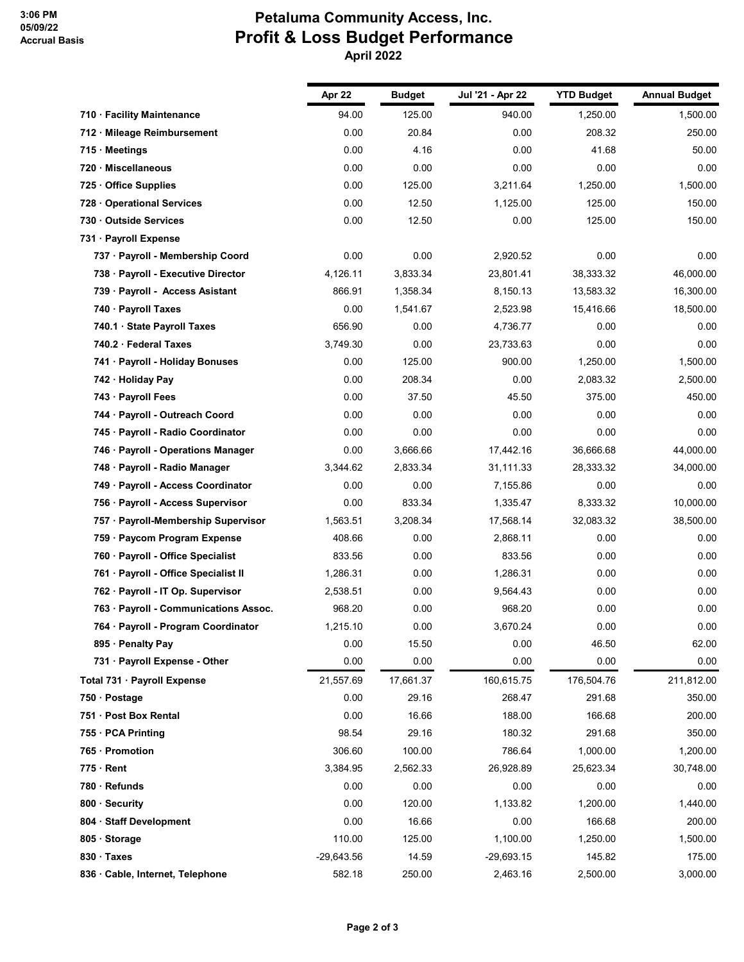## **Petaluma Community Access, Inc. Profit & Loss Budget Performance April 2022**

|                                       | Apr 22     | <b>Budget</b> | Jul '21 - Apr 22 | <b>YTD Budget</b> | <b>Annual Budget</b> |
|---------------------------------------|------------|---------------|------------------|-------------------|----------------------|
| 710 · Facility Maintenance            | 94.00      | 125.00        | 940.00           | 1,250.00          | 1,500.00             |
| 712 · Mileage Reimbursement           | 0.00       | 20.84         | 0.00             | 208.32            | 250.00               |
| 715 Meetings                          | 0.00       | 4.16          | 0.00             | 41.68             | 50.00                |
| 720 · Miscellaneous                   | 0.00       | 0.00          | 0.00             | 0.00              | 0.00                 |
| 725 Office Supplies                   | 0.00       | 125.00        | 3,211.64         | 1,250.00          | 1,500.00             |
| 728 Operational Services              | 0.00       | 12.50         | 1,125.00         | 125.00            | 150.00               |
| 730 Outside Services                  | 0.00       | 12.50         | 0.00             | 125.00            | 150.00               |
| 731 · Payroll Expense                 |            |               |                  |                   |                      |
| 737 · Payroll - Membership Coord      | 0.00       | 0.00          | 2,920.52         | 0.00              | 0.00                 |
| 738 · Payroll - Executive Director    | 4,126.11   | 3,833.34      | 23,801.41        | 38,333.32         | 46,000.00            |
| 739 · Payroll - Access Asistant       | 866.91     | 1,358.34      | 8,150.13         | 13,583.32         | 16,300.00            |
| 740 · Payroll Taxes                   | 0.00       | 1,541.67      | 2,523.98         | 15,416.66         | 18,500.00            |
| 740.1 · State Payroll Taxes           | 656.90     | 0.00          | 4.736.77         | 0.00              | 0.00                 |
| 740.2 · Federal Taxes                 | 3,749.30   | 0.00          | 23,733.63        | 0.00              | 0.00                 |
| 741 · Payroll - Holiday Bonuses       | 0.00       | 125.00        | 900.00           | 1,250.00          | 1,500.00             |
| 742 · Holiday Pay                     | 0.00       | 208.34        | 0.00             | 2,083.32          | 2,500.00             |
| 743 · Payroll Fees                    | 0.00       | 37.50         | 45.50            | 375.00            | 450.00               |
| 744 · Payroll - Outreach Coord        | 0.00       | 0.00          | 0.00             | 0.00              | 0.00                 |
| 745 · Payroll - Radio Coordinator     | 0.00       | 0.00          | 0.00             | 0.00              | 0.00                 |
| 746 · Payroll - Operations Manager    | 0.00       | 3,666.66      | 17,442.16        | 36,666.68         | 44,000.00            |
| 748 · Payroll - Radio Manager         | 3,344.62   | 2,833.34      | 31,111.33        | 28,333.32         | 34,000.00            |
| 749 · Payroll - Access Coordinator    | 0.00       | 0.00          | 7,155.86         | 0.00              | 0.00                 |
| 756 · Payroll - Access Supervisor     | 0.00       | 833.34        | 1,335.47         | 8,333.32          | 10,000.00            |
| 757 · Payroll-Membership Supervisor   | 1,563.51   | 3,208.34      | 17,568.14        | 32,083.32         | 38,500.00            |
| 759 · Paycom Program Expense          | 408.66     | 0.00          | 2,868.11         | 0.00              | 0.00                 |
| 760 · Payroll - Office Specialist     | 833.56     | 0.00          | 833.56           | 0.00              | 0.00                 |
| 761 · Payroll - Office Specialist II  | 1,286.31   | 0.00          | 1,286.31         | 0.00              | 0.00                 |
| 762 · Payroll - IT Op. Supervisor     | 2,538.51   | 0.00          | 9,564.43         | 0.00              | 0.00                 |
| 763 · Payroll - Communications Assoc. | 968.20     | 0.00          | 968.20           | 0.00              | 0.00                 |
| 764 · Payroll - Program Coordinator   | 1,215.10   | 0.00          | 3,670.24         | 0.00              | 0.00                 |
| 895 · Penalty Pay                     | 0.00       | 15.50         | 0.00             | 46.50             | 62.00                |
| 731 · Payroll Expense - Other         | 0.00       | 0.00          | 0.00             | 0.00              | 0.00                 |
| Total 731 · Payroll Expense           | 21,557.69  | 17,661.37     | 160,615.75       | 176,504.76        | 211,812.00           |
| 750 · Postage                         | 0.00       | 29.16         | 268.47           | 291.68            | 350.00               |
| 751 · Post Box Rental                 | 0.00       | 16.66         | 188.00           | 166.68            | 200.00               |
| 755 · PCA Printing                    | 98.54      | 29.16         | 180.32           | 291.68            | 350.00               |
| 765 · Promotion                       | 306.60     | 100.00        | 786.64           | 1,000.00          | 1,200.00             |
| $775 \cdot$ Rent                      | 3,384.95   | 2,562.33      | 26,928.89        | 25,623.34         | 30,748.00            |
| 780 · Refunds                         | 0.00       | 0.00          | 0.00             | 0.00              | 0.00                 |
| 800 · Security                        | 0.00       | 120.00        | 1,133.82         | 1,200.00          | 1,440.00             |
| 804 · Staff Development               | 0.00       | 16.66         | 0.00             | 166.68            | 200.00               |
| 805 · Storage                         | 110.00     | 125.00        | 1,100.00         | 1,250.00          | 1,500.00             |
| 830 · Taxes                           | -29,643.56 | 14.59         | $-29,693.15$     | 145.82            | 175.00               |
| 836 · Cable, Internet, Telephone      | 582.18     | 250.00        | 2,463.16         | 2,500.00          | 3,000.00             |